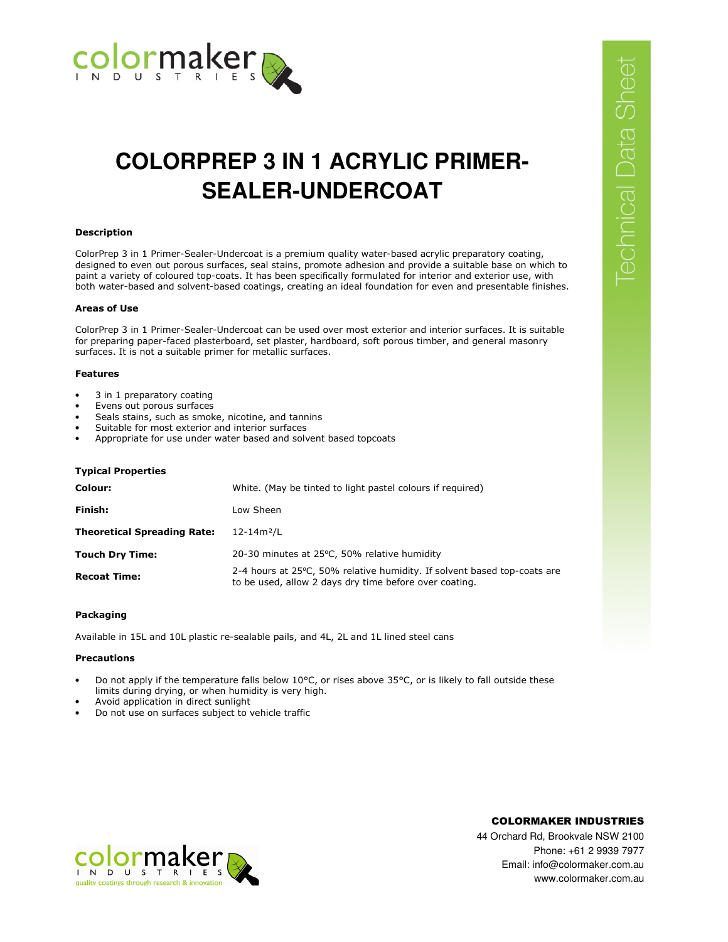

# **COLORPREP 3 IN 1 ACRYLIC PRIMER-SEALER-UNDERCOAT**

## **Description**

ColorPrep 3 in 1 Primer-Sealer-Undercoat is a premium quality water-based acrylic preparatory coating, designed to even out porous surfaces, seal stains, promote adhesion and provide a suitable base on which to paint a variety of coloured top-coats. It has been specifically formulated for interior and exterior use, with both water-based and solvent-based coatings, creating an ideal foundation for even and presentable finishes.

# **Areas of Use**

ColorPrep 3 in 1 Primer-Sealer-Undercoat can be used over most exterior and interior surfaces. It is suitable for preparing paper-faced plasterboard, set plaster, hardboard, soft porous timber, and general masonry surfaces. It is not a suitable primer for metallic surfaces.

# **Features**

- 3 in 1 preparatory coating
- Evens out porous surfaces
- Seals stains, such as smoke, nicotine, and tannins
- Suitable for most exterior and interior surfaces
- Appropriate for use under water based and solvent based topcoats

# **Typical Properties**

| Colour:                            | White. (May be tinted to light pastel colours if required)                                                                          |
|------------------------------------|-------------------------------------------------------------------------------------------------------------------------------------|
| Finish:                            | Low Sheen                                                                                                                           |
| <b>Theoretical Spreading Rate:</b> | $12 - 14m^2/L$                                                                                                                      |
| <b>Touch Dry Time:</b>             | 20-30 minutes at 25°C, 50% relative humidity                                                                                        |
| <b>Recoat Time:</b>                | 2-4 hours at 25 °C, 50% relative humidity. If solvent based top-coats are<br>to be used, allow 2 days dry time before over coating. |

## **Packaging**

Available in 15L and 10L plastic re-sealable pails, and 4L, 2L and 1L lined steel cans

## **Precautions**

- Do not apply if the temperature falls below 10°C, or rises above 35°C, or is likely to fall outside these limits during drying, or when humidity is very high.
- Avoid application in direct sunlight
- Do not use on surfaces subject to vehicle traffic



COLORMAKER INDUSTRIES

44 Orchard Rd, Brookvale NSW 2100 Phone: +61 2 9939 7977 Email: info@colormaker.com.au www.colormaker.com.au